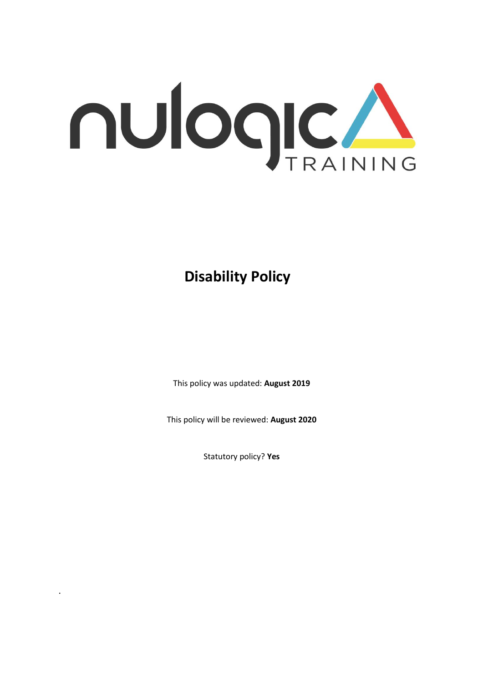

**Disability Policy**

This policy was updated: **August 2019**

This policy will be reviewed: **August 2020**

Statutory policy? **Yes**

.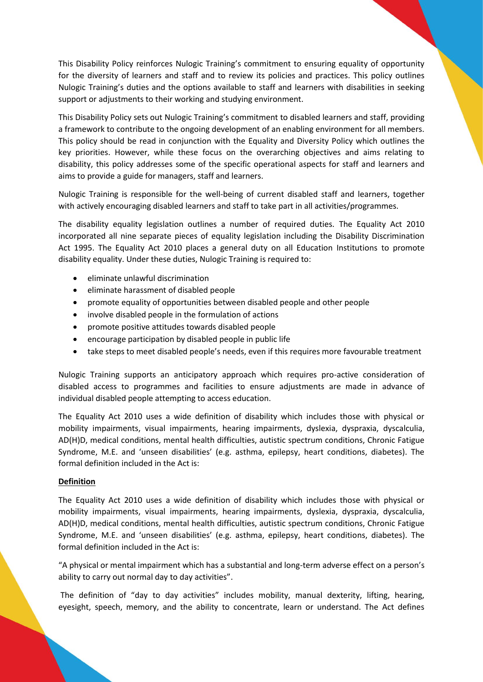This Disability Policy reinforces Nulogic Training's commitment to ensuring equality of opportunity for the diversity of learners and staff and to review its policies and practices. This policy outlines Nulogic Training's duties and the options available to staff and learners with disabilities in seeking support or adjustments to their working and studying environment.

This Disability Policy sets out Nulogic Training's commitment to disabled learners and staff, providing a framework to contribute to the ongoing development of an enabling environment for all members. This policy should be read in conjunction with the Equality and Diversity Policy which outlines the key priorities. However, while these focus on the overarching objectives and aims relating to disability, this policy addresses some of the specific operational aspects for staff and learners and aims to provide a guide for managers, staff and learners.

Nulogic Training is responsible for the well-being of current disabled staff and learners, together with actively encouraging disabled learners and staff to take part in all activities/programmes.

The disability equality legislation outlines a number of required duties. The Equality Act 2010 incorporated all nine separate pieces of equality legislation including the Disability Discrimination Act 1995. The Equality Act 2010 places a general duty on all Education Institutions to promote disability equality. Under these duties, Nulogic Training is required to:

- eliminate unlawful discrimination
- eliminate harassment of disabled people
- promote equality of opportunities between disabled people and other people
- involve disabled people in the formulation of actions
- promote positive attitudes towards disabled people
- encourage participation by disabled people in public life
- take steps to meet disabled people's needs, even if this requires more favourable treatment

Nulogic Training supports an anticipatory approach which requires pro-active consideration of disabled access to programmes and facilities to ensure adjustments are made in advance of individual disabled people attempting to access education.

The Equality Act 2010 uses a wide definition of disability which includes those with physical or mobility impairments, visual impairments, hearing impairments, dyslexia, dyspraxia, dyscalculia, AD(H)D, medical conditions, mental health difficulties, autistic spectrum conditions, Chronic Fatigue Syndrome, M.E. and 'unseen disabilities' (e.g. asthma, epilepsy, heart conditions, diabetes). The formal definition included in the Act is:

## **Definition**

The Equality Act 2010 uses a wide definition of disability which includes those with physical or mobility impairments, visual impairments, hearing impairments, dyslexia, dyspraxia, dyscalculia, AD(H)D, medical conditions, mental health difficulties, autistic spectrum conditions, Chronic Fatigue Syndrome, M.E. and 'unseen disabilities' (e.g. asthma, epilepsy, heart conditions, diabetes). The formal definition included in the Act is:

"A physical or mental impairment which has a substantial and long-term adverse effect on a person's ability to carry out normal day to day activities".

The definition of "day to day activities" includes mobility, manual dexterity, lifting, hearing, eyesight, speech, memory, and the ability to concentrate, learn or understand. The Act defines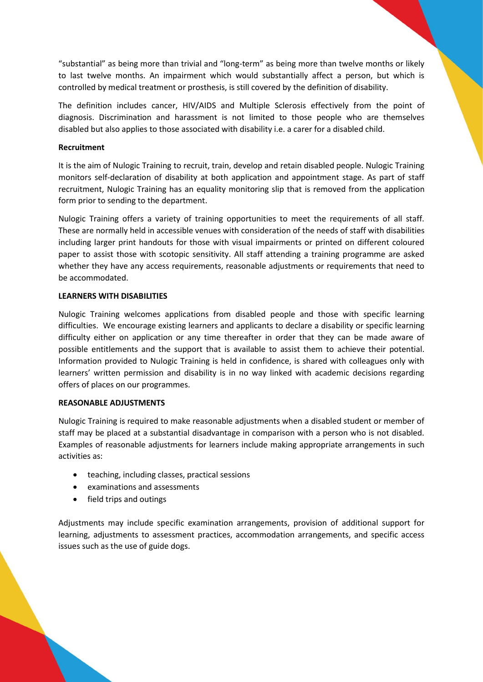"substantial" as being more than trivial and "long-term" as being more than twelve months or likely to last twelve months. An impairment which would substantially affect a person, but which is controlled by medical treatment or prosthesis, is still covered by the definition of disability.

The definition includes cancer, HIV/AIDS and Multiple Sclerosis effectively from the point of diagnosis. Discrimination and harassment is not limited to those people who are themselves disabled but also applies to those associated with disability i.e. a carer for a disabled child.

### **Recruitment**

It is the aim of Nulogic Training to recruit, train, develop and retain disabled people. Nulogic Training monitors self-declaration of disability at both application and appointment stage. As part of staff recruitment, Nulogic Training has an equality monitoring slip that is removed from the application form prior to sending to the department.

Nulogic Training offers a variety of training opportunities to meet the requirements of all staff. These are normally held in accessible venues with consideration of the needs of staff with disabilities including larger print handouts for those with visual impairments or printed on different coloured paper to assist those with scotopic sensitivity. All staff attending a training programme are asked whether they have any access requirements, reasonable adjustments or requirements that need to be accommodated.

#### **LEARNERS WITH DISABILITIES**

Nulogic Training welcomes applications from disabled people and those with specific learning difficulties. We encourage existing learners and applicants to declare a disability or specific learning difficulty either on application or any time thereafter in order that they can be made aware of possible entitlements and the support that is available to assist them to achieve their potential. Information provided to Nulogic Training is held in confidence, is shared with colleagues only with learners' written permission and disability is in no way linked with academic decisions regarding offers of places on our programmes.

## **REASONABLE ADJUSTMENTS**

Nulogic Training is required to make reasonable adjustments when a disabled student or member of staff may be placed at a substantial disadvantage in comparison with a person who is not disabled. Examples of reasonable adjustments for learners include making appropriate arrangements in such activities as:

- teaching, including classes, practical sessions
- examinations and assessments
- field trips and outings

Adjustments may include specific examination arrangements, provision of additional support for learning, adjustments to assessment practices, accommodation arrangements, and specific access issues such as the use of guide dogs.